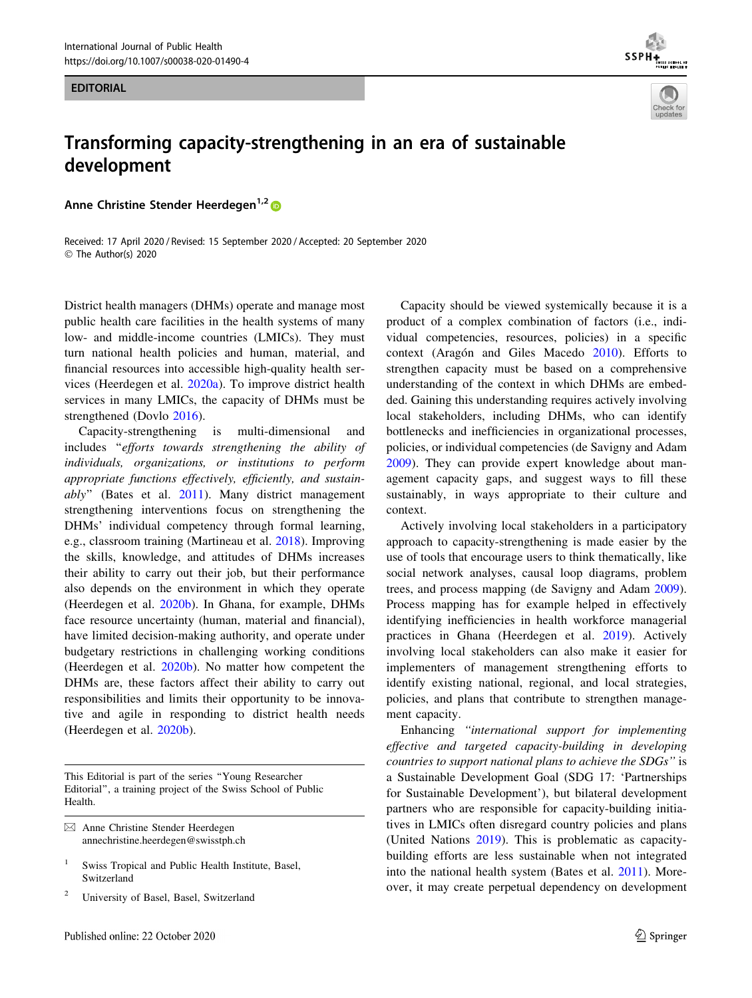EDITORIAL





## Transforming capacity-strengthening in an era of sustainable development

Anne Christine Stender Heerdegen<sup>1,2</sup>

Received: 17 April 2020 / Revised: 15 September 2020 / Accepted: 20 September 2020 © The Author(s) 2020

District health managers (DHMs) operate and manage most public health care facilities in the health systems of many low- and middle-income countries (LMICs). They must turn national health policies and human, material, and financial resources into accessible high-quality health services (Heerdegen et al. [2020a](#page-1-0)). To improve district health services in many LMICs, the capacity of DHMs must be strengthened (Dovlo [2016](#page-1-0)).

Capacity-strengthening is multi-dimensional and includes ''efforts towards strengthening the ability of individuals, organizations, or institutions to perform appropriate functions effectively, efficiently, and sustainably'' (Bates et al. [2011\)](#page-1-0). Many district management strengthening interventions focus on strengthening the DHMs' individual competency through formal learning, e.g., classroom training (Martineau et al. [2018](#page-1-0)). Improving the skills, knowledge, and attitudes of DHMs increases their ability to carry out their job, but their performance also depends on the environment in which they operate (Heerdegen et al. [2020b\)](#page-1-0). In Ghana, for example, DHMs face resource uncertainty (human, material and financial), have limited decision-making authority, and operate under budgetary restrictions in challenging working conditions (Heerdegen et al. [2020b\)](#page-1-0). No matter how competent the DHMs are, these factors affect their ability to carry out responsibilities and limits their opportunity to be innovative and agile in responding to district health needs (Heerdegen et al. [2020b\)](#page-1-0).

This Editorial is part of the series ''Young Researcher Editorial'', a training project of the Swiss School of Public Health.

 $\boxtimes$  Anne Christine Stender Heerdegen annechristine.heerdegen@swisstph.ch

- Swiss Tropical and Public Health Institute, Basel, Switzerland
- <sup>2</sup> University of Basel, Basel, Switzerland

Capacity should be viewed systemically because it is a product of a complex combination of factors (i.e., individual competencies, resources, policies) in a specific context (Aragón and Giles Macedo [2010\)](#page-1-0). Efforts to strengthen capacity must be based on a comprehensive understanding of the context in which DHMs are embedded. Gaining this understanding requires actively involving local stakeholders, including DHMs, who can identify bottlenecks and inefficiencies in organizational processes, policies, or individual competencies (de Savigny and Adam [2009](#page-1-0)). They can provide expert knowledge about management capacity gaps, and suggest ways to fill these sustainably, in ways appropriate to their culture and context.

Actively involving local stakeholders in a participatory approach to capacity-strengthening is made easier by the use of tools that encourage users to think thematically, like social network analyses, causal loop diagrams, problem trees, and process mapping (de Savigny and Adam [2009](#page-1-0)). Process mapping has for example helped in effectively identifying inefficiencies in health workforce managerial practices in Ghana (Heerdegen et al. [2019\)](#page-1-0). Actively involving local stakeholders can also make it easier for implementers of management strengthening efforts to identify existing national, regional, and local strategies, policies, and plans that contribute to strengthen management capacity.

Enhancing ''international support for implementing effective and targeted capacity-building in developing countries to support national plans to achieve the SDGs'' is a Sustainable Development Goal (SDG 17: 'Partnerships for Sustainable Development'), but bilateral development partners who are responsible for capacity-building initiatives in LMICs often disregard country policies and plans (United Nations [2019](#page-1-0)). This is problematic as capacitybuilding efforts are less sustainable when not integrated into the national health system (Bates et al. [2011\)](#page-1-0). Moreover, it may create perpetual dependency on development